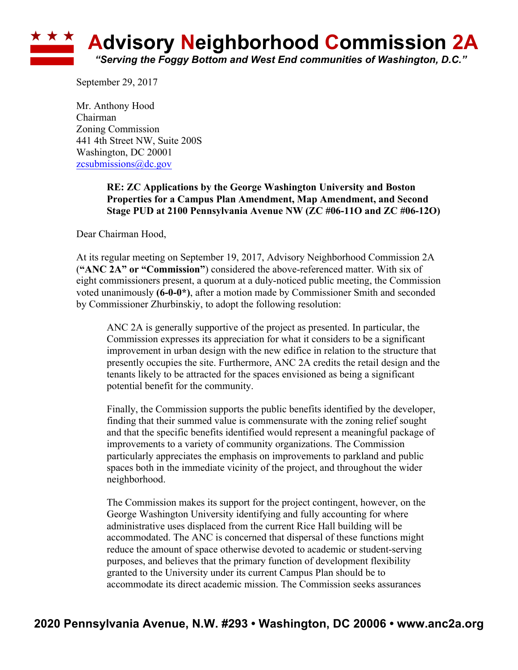## **\* \* \* Advisory Neighborhood Commission 2A** *"Serving the Foggy Bottom and West End communities of Washington, D.C."*

September 29, 2017

Mr. Anthony Hood Chairman Zoning Commission 441 4th Street NW, Suite 200S Washington, DC 20001 zcsubmissions@dc.gov

> **RE: ZC Applications by the George Washington University and Boston Properties for a Campus Plan Amendment, Map Amendment, and Second Stage PUD at 2100 Pennsylvania Avenue NW (ZC #06-11O and ZC #06-12O)**

Dear Chairman Hood,

At its regular meeting on September 19, 2017, Advisory Neighborhood Commission 2A (**"ANC 2A" or "Commission"**) considered the above-referenced matter. With six of eight commissioners present, a quorum at a duly-noticed public meeting, the Commission voted unanimously **(6-0-0\*)**, after a motion made by Commissioner Smith and seconded by Commissioner Zhurbinskiy, to adopt the following resolution:

ANC 2A is generally supportive of the project as presented. In particular, the Commission expresses its appreciation for what it considers to be a significant improvement in urban design with the new edifice in relation to the structure that presently occupies the site. Furthermore, ANC 2A credits the retail design and the tenants likely to be attracted for the spaces envisioned as being a significant potential benefit for the community.

Finally, the Commission supports the public benefits identified by the developer, finding that their summed value is commensurate with the zoning relief sought and that the specific benefits identified would represent a meaningful package of improvements to a variety of community organizations. The Commission particularly appreciates the emphasis on improvements to parkland and public spaces both in the immediate vicinity of the project, and throughout the wider neighborhood.

The Commission makes its support for the project contingent, however, on the George Washington University identifying and fully accounting for where administrative uses displaced from the current Rice Hall building will be accommodated. The ANC is concerned that dispersal of these functions might reduce the amount of space otherwise devoted to academic or student-serving purposes, and believes that the primary function of development flexibility granted to the University under its current Campus Plan should be to accommodate its direct academic mission. The Commission seeks assurances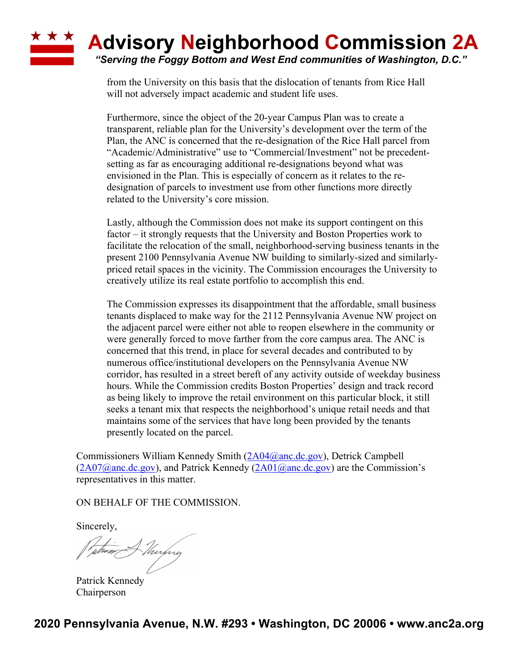## **\* \* \* Advisory Neighborhood Commission 2A** *"Serving the Foggy Bottom and West End communities of Washington, D.C."*

from the University on this basis that the dislocation of tenants from Rice Hall will not adversely impact academic and student life uses.

Furthermore, since the object of the 20-year Campus Plan was to create a transparent, reliable plan for the University's development over the term of the Plan, the ANC is concerned that the re-designation of the Rice Hall parcel from "Academic/Administrative" use to "Commercial/Investment" not be precedentsetting as far as encouraging additional re-designations beyond what was envisioned in the Plan. This is especially of concern as it relates to the redesignation of parcels to investment use from other functions more directly related to the University's core mission.

Lastly, although the Commission does not make its support contingent on this factor – it strongly requests that the University and Boston Properties work to facilitate the relocation of the small, neighborhood-serving business tenants in the present 2100 Pennsylvania Avenue NW building to similarly-sized and similarlypriced retail spaces in the vicinity. The Commission encourages the University to creatively utilize its real estate portfolio to accomplish this end.

The Commission expresses its disappointment that the affordable, small business tenants displaced to make way for the 2112 Pennsylvania Avenue NW project on the adjacent parcel were either not able to reopen elsewhere in the community or were generally forced to move farther from the core campus area. The ANC is concerned that this trend, in place for several decades and contributed to by numerous office/institutional developers on the Pennsylvania Avenue NW corridor, has resulted in a street bereft of any activity outside of weekday business hours. While the Commission credits Boston Properties' design and track record as being likely to improve the retail environment on this particular block, it still seeks a tenant mix that respects the neighborhood's unique retail needs and that maintains some of the services that have long been provided by the tenants presently located on the parcel.

Commissioners William Kennedy Smith (2A04@anc.dc.gov), Detrick Campbell  $(2A07@anc.de.gov)$ , and Patrick Kennedy  $(2A01@anc.de.gov)$  are the Commission's representatives in this matter.

ON BEHALF OF THE COMMISSION.

Sincerely,

The Murphy

Patrick Kennedy Chairperson

**2020 Pennsylvania Avenue, N.W. #293 • Washington, DC 20006 • www.anc2a.org**